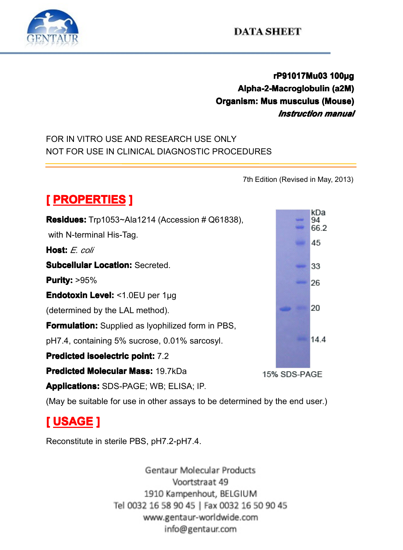

## **rP91017Mu03 P91017Mu03 P91017Mu03 <sup>100</sup> 017Mu03100µg Alpha-2-Macroglobulin (a2M)**<br> **hism: Mus musculus (Mouse)**<br> *Instruction manual* **Comprism: Mus musculus (Mouse)**<br> *Instruction manual***<br>
E ONLY<br>
CROCEDURES** *Instruction Instruction manual*

## FOR IN VITRO USE AND RESEARCH USE ONLY NOT FOR USE IN CLINICAL DIAGNOSTIC PROCEDURES<br>
MOT FOR USE IN CLINICAL DIAGNOSTIC PROCEDURES<br>
The Edition of PROPERTIES 1



(May be suitable for use in other assays to be determined by the end user.)<br>  $\begin{bmatrix} \text{USAGE} \end{bmatrix}$ 

# **[ USAGE ]**

Reconstitute in sterile PBS, pH7.2-pH7.4.<br>Gentaur Molecular Products<br>Voortstraat 49<br>1910 Kampenhout. BELGIUM Tel 0032 16 58 90 45 | Fax 0032 16 50 90 45 www.gentaur-worldwide.com info@gentaur.com